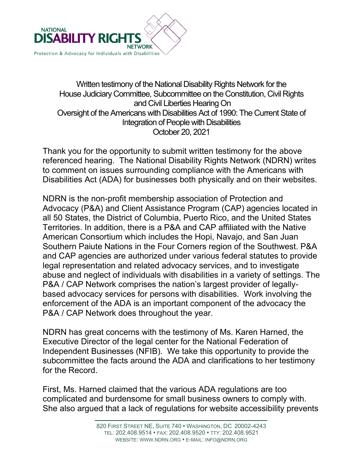

## Written testimony of the National Disability Rights Network for the House Judiciary Committee, Subcommittee on the Constitution, Civil Rights and Civil Liberties Hearing On Oversight of the Americans with Disabilities Act of 1990: The Current State of Integration of People with Disabilities October 20, 2021

Thank you for the opportunity to submit written testimony for the above referenced hearing. The National Disability Rights Network (NDRN) writes to comment on issues surrounding compliance with the Americans with Disabilities Act (ADA) for businesses both physically and on their websites.

NDRN is the non-profit membership association of Protection and Advocacy (P&A) and Client Assistance Program (CAP) agencies located in all 50 States, the District of Columbia, Puerto Rico, and the United States Territories. In addition, there is a P&A and CAP affiliated with the Native American Consortium which includes the Hopi, Navajo, and San Juan Southern Paiute Nations in the Four Corners region of the Southwest. P&A and CAP agencies are authorized under various federal statutes to provide legal representation and related advocacy services, and to investigate abuse and neglect of individuals with disabilities in a variety of settings. The P&A / CAP Network comprises the nation's largest provider of legallybased advocacy services for persons with disabilities. Work involving the enforcement of the ADA is an important component of the advocacy the P&A / CAP Network does throughout the year.

NDRN has great concerns with the testimony of Ms. Karen Harned, the Executive Director of the legal center for the National Federation of Independent Businesses (NFIB). We take this opportunity to provide the subcommittee the facts around the ADA and clarifications to her testimony for the Record.

First, Ms. Harned claimed that the various ADA regulations are too complicated and burdensome for small business owners to comply with. She also argued that a lack of regulations for website accessibility prevents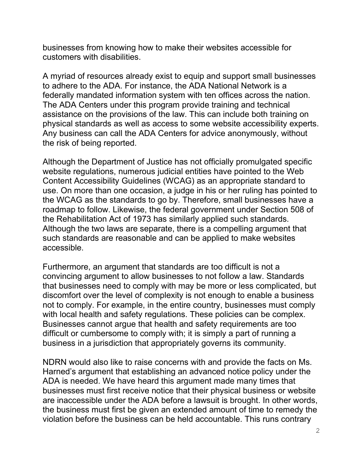businesses from knowing how to make their websites accessible for customers with disabilities.

A myriad of resources already exist to equip and support small businesses to adhere to the ADA. For instance, the ADA National Network is a federally mandated information system with ten offices across the nation. The ADA Centers under this program provide training and technical assistance on the provisions of the law. This can include both training on physical standards as well as access to some website accessibility experts. Any business can call the ADA Centers for advice anonymously, without the risk of being reported.

Although the Department of Justice has not officially promulgated specific website regulations, numerous judicial entities have pointed to the Web Content Accessibility Guidelines (WCAG) as an appropriate standard to use. On more than one occasion, a judge in his or her ruling has pointed to the WCAG as the standards to go by. Therefore, small businesses have a roadmap to follow. Likewise, the federal government under Section 508 of the Rehabilitation Act of 1973 has similarly applied such standards. Although the two laws are separate, there is a compelling argument that such standards are reasonable and can be applied to make websites accessible.

Furthermore, an argument that standards are too difficult is not a convincing argument to allow businesses to not follow a law. Standards that businesses need to comply with may be more or less complicated, but discomfort over the level of complexity is not enough to enable a business not to comply. For example, in the entire country, businesses must comply with local health and safety regulations. These policies can be complex. Businesses cannot argue that health and safety requirements are too difficult or cumbersome to comply with; it is simply a part of running a business in a jurisdiction that appropriately governs its community.

NDRN would also like to raise concerns with and provide the facts on Ms. Harned's argument that establishing an advanced notice policy under the ADA is needed. We have heard this argument made many times that businesses must first receive notice that their physical business or website are inaccessible under the ADA before a lawsuit is brought. In other words, the business must first be given an extended amount of time to remedy the violation before the business can be held accountable. This runs contrary